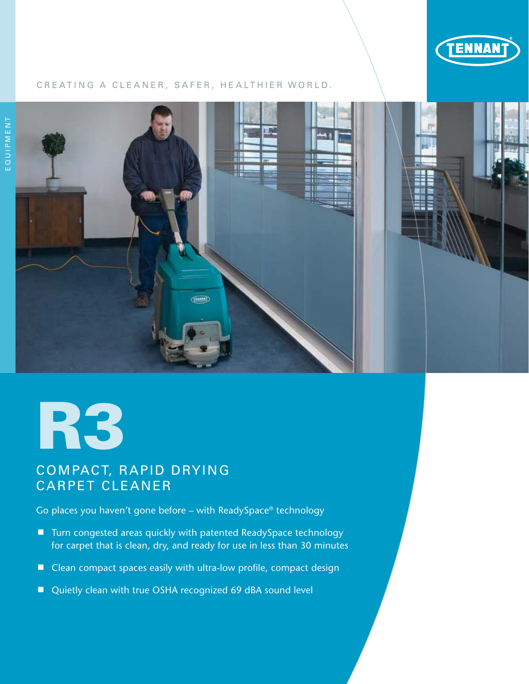

## CREATING A CLEANER, SAFER, HEALTHIER WORLD.



# R3

# COMPACT, RAPID DRYING CARPET CLEANER

Go places you haven't gone before – with ReadySpace® technology

- Turn congested areas quickly with patented ReadySpace technology for carpet that is clean, dry, and ready for use in less than 30 minutes
- Clean compact spaces easily with ultra-low profile, compact design
- Quietly clean with true OSHA recognized 69 dBA sound level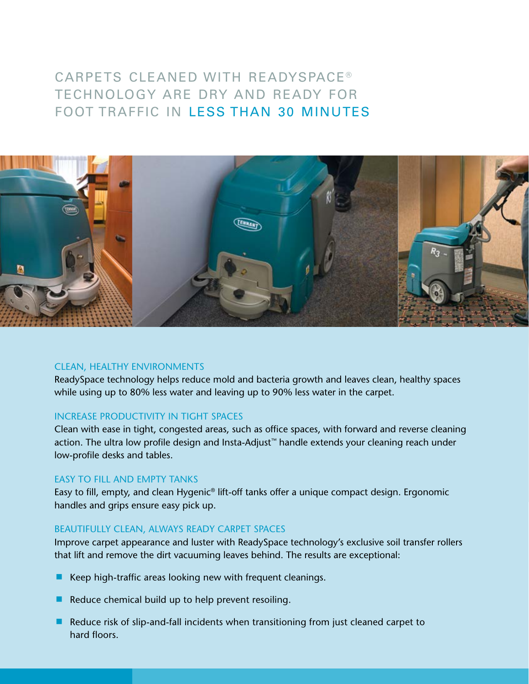# CARPETS CLEANED WITH READYSPACE<sup>®</sup> TECHNOLOGY ARE DRY AND READY FOR FOOT TRAFFIC IN LESS THAN 30 MINUTES



## CLEAN, HEALTHY ENVIRONMENTS

ReadySpace technology helps reduce mold and bacteria growth and leaves clean, healthy spaces while using up to 80% less water and leaving up to 90% less water in the carpet.

## INCREASE PRODUCTIVITY IN TIGHT SPACES

Clean with ease in tight, congested areas, such as office spaces, with forward and reverse cleaning action. The ultra low profile design and Insta-Adjust™ handle extends your cleaning reach under low-profile desks and tables.

### EASY TO FILL AND EMPTY TANKS

Easy to fill, empty, and clean Hygenic® lift-off tanks offer a unique compact design. Ergonomic handles and grips ensure easy pick up.

## BEAUTIFULLY CLEAN, ALWAYS READY CARPET SPACES

Improve carpet appearance and luster with ReadySpace technology's exclusive soil transfer rollers that lift and remove the dirt vacuuming leaves behind. The results are exceptional:

- $\blacksquare$  Keep high-traffic areas looking new with frequent cleanings.
- Reduce chemical build up to help prevent resoiling.
- Reduce risk of slip-and-fall incidents when transitioning from just cleaned carpet to hard floors.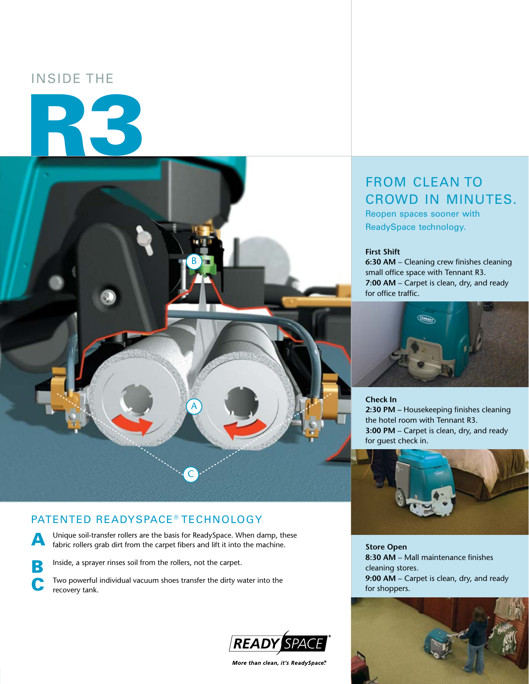# INSIDE THE

R3



## PATENTED READYSPACE® TECHNOLOGY

A Unique soil-transfer rollers are the basis for ReadySpace. When damp, these fabric rollers grab dirt from the carpet fibers and lift it into the machine.

**B** Inside, a sprayer rinses soil from the rollers, not the carpet.

Two powerful individual vacuum shoes transfer the dirty water into the recovery tank.



More than clean, it's ReadySpace.®

# FROM CLEAN TO CROWD IN MINUTES.

Reopen spaces sooner with ReadySpace technology.

#### **First Shift**

**6:30 AM** – Cleaning crew finishes cleaning small office space with Tennant R3. **7:00 AM** – Carpet is clean, dry, and ready for office traffic.



**Check In 2:30 PM –** Housekeeping finishes cleaning the hotel room with Tennant R3. **3:00 PM** – Carpet is clean, dry, and ready for guest check in.



**Store Open 8:30 AM** – Mall maintenance finishes cleaning stores. **9:00 AM** – Carpet is clean, dry, and ready for shoppers.